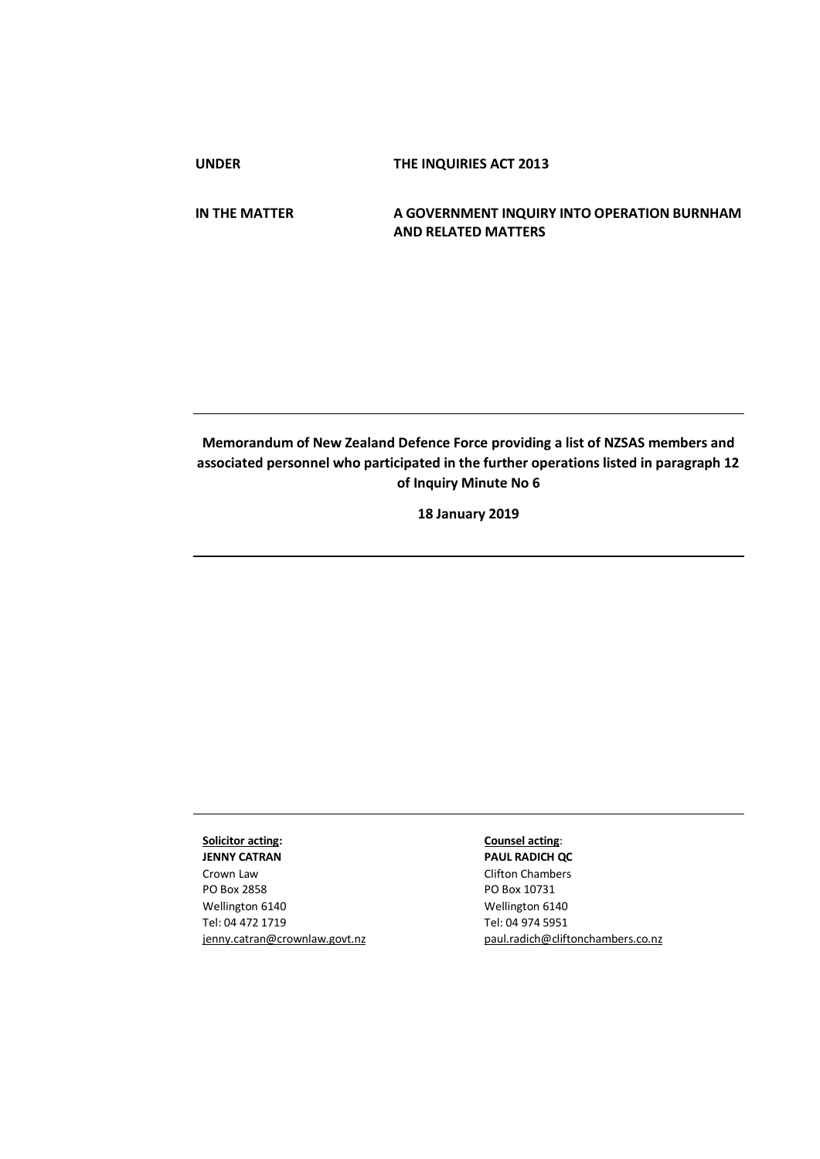**UNDER THE INQUIRIES ACT 2013**

**IN THE MATTER A GOVERNMENT INQUIRY INTO OPERATION BURNHAM AND RELATED MATTERS**

## **Memorandum of New Zealand Defence Force providing a list of NZSAS members and associated personnel who participated in the further operations listed in paragraph 12 of Inquiry Minute No 6**

**18 January 2019**

## **Solicitor acting:**

**JENNY CATRAN** Crown Law PO Box 2858 Wellington 6140 Tel: 04 472 1719 jenny.catran@crownlaw.govt.nz

## **Counsel acting**:

**PAUL RADICH QC** Clifton Chambers PO Box 10731 Wellington 6140 Tel: 04 974 5951 [paul.radich@cliftonchambers.co.nz](mailto:paul.radich@cliftonchambers.co.nz)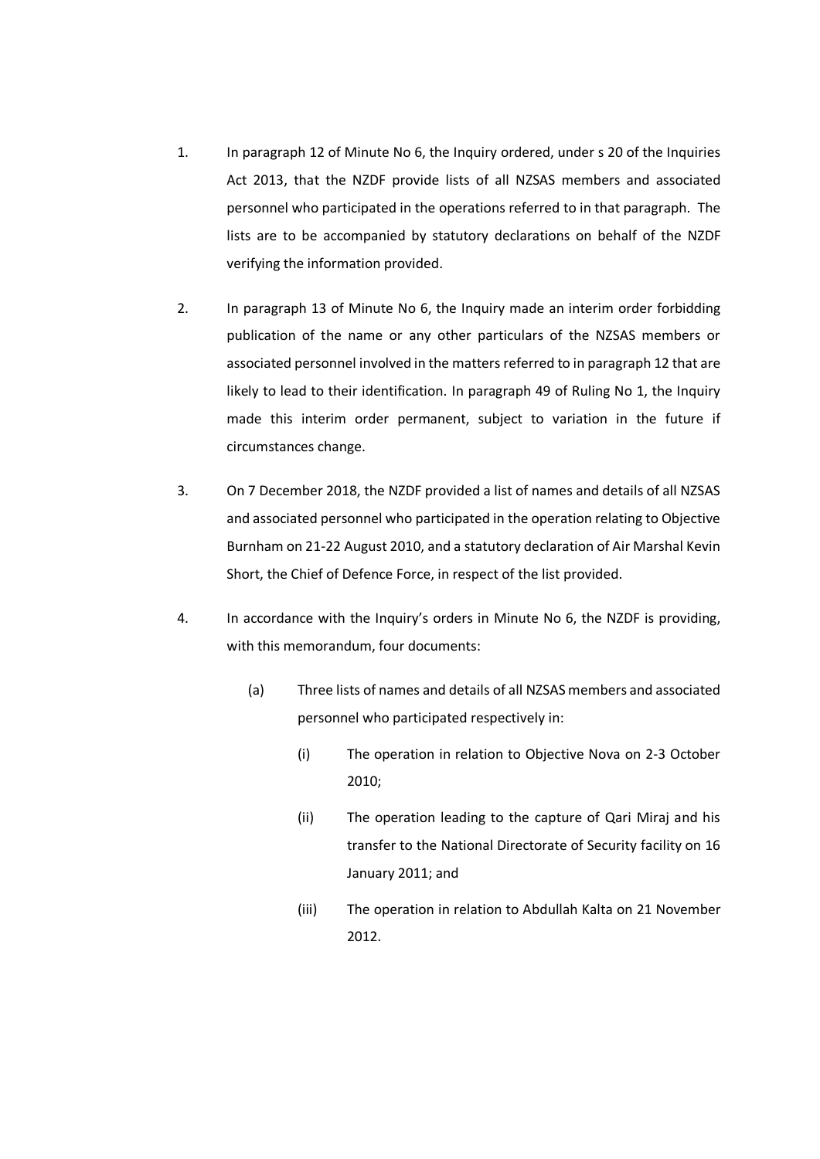- 1. In paragraph 12 of Minute No 6, the Inquiry ordered, under s 20 of the Inquiries Act 2013, that the NZDF provide lists of all NZSAS members and associated personnel who participated in the operations referred to in that paragraph. The lists are to be accompanied by statutory declarations on behalf of the NZDF verifying the information provided.
- 2. In paragraph 13 of Minute No 6, the Inquiry made an interim order forbidding publication of the name or any other particulars of the NZSAS members or associated personnel involved in the matters referred to in paragraph 12 that are likely to lead to their identification. In paragraph 49 of Ruling No 1, the Inquiry made this interim order permanent, subject to variation in the future if circumstances change.
- 3. On 7 December 2018, the NZDF provided a list of names and details of all NZSAS and associated personnel who participated in the operation relating to Objective Burnham on 21-22 August 2010, and a statutory declaration of Air Marshal Kevin Short, the Chief of Defence Force, in respect of the list provided.
- 4. In accordance with the Inquiry's orders in Minute No 6, the NZDF is providing, with this memorandum, four documents:
	- (a) Three lists of names and details of all NZSAS members and associated personnel who participated respectively in:
		- (i) The operation in relation to Objective Nova on 2-3 October 2010;
		- (ii) The operation leading to the capture of Qari Miraj and his transfer to the National Directorate of Security facility on 16 January 2011; and
		- (iii) The operation in relation to Abdullah Kalta on 21 November 2012.